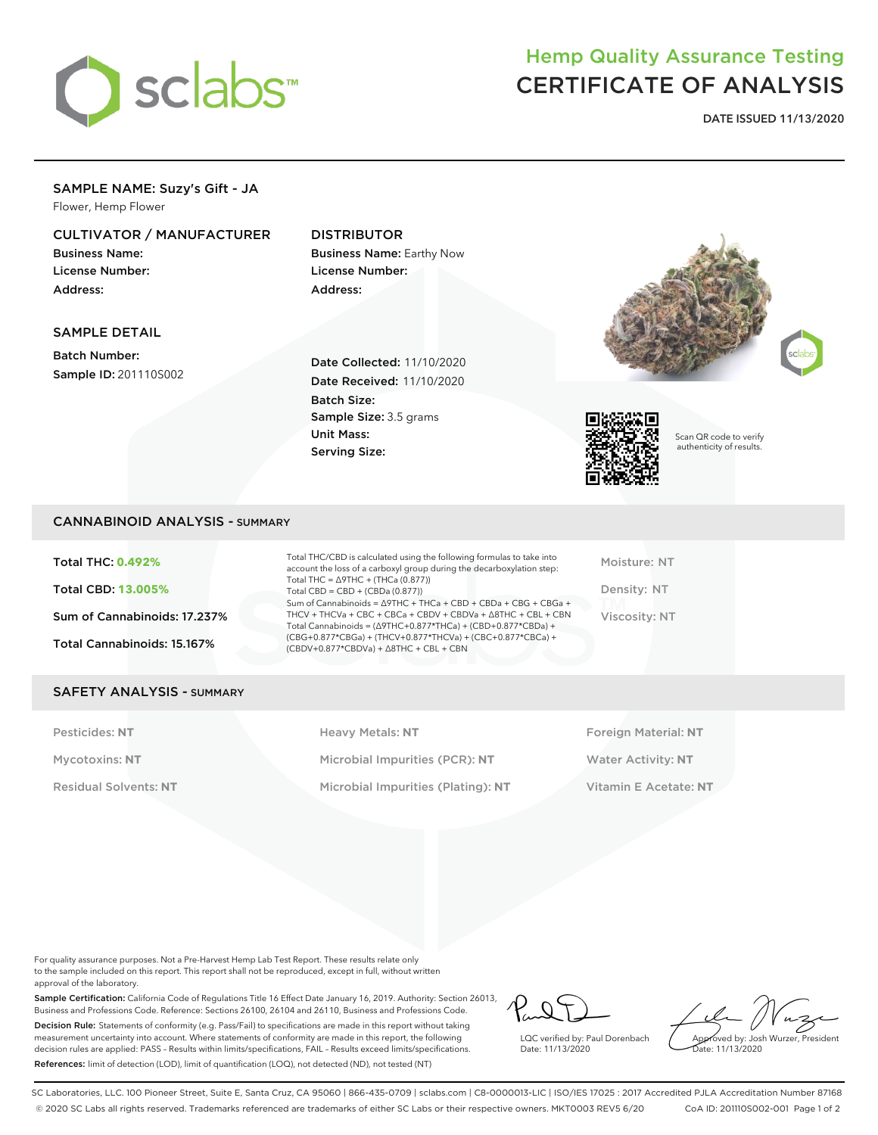

# Hemp Quality Assurance Testing CERTIFICATE OF ANALYSIS

**DATE ISSUED 11/13/2020**

# SAMPLE NAME: Suzy's Gift - JA

Flower, Hemp Flower

### CULTIVATOR / MANUFACTURER

Business Name: License Number: Address:

### DISTRIBUTOR

Business Name: Earthy Now License Number: Address:

#### SAMPLE DETAIL

Batch Number: Sample ID: 201110S002

Date Collected: 11/10/2020 Date Received: 11/10/2020 Batch Size: Sample Size: 3.5 grams Unit Mass: Serving Size:







Scan QR code to verify authenticity of results.

#### CANNABINOID ANALYSIS - SUMMARY

Total THC: **0.492%** Total CBD: **13.005%** Sum of Cannabinoids: 17.237% Total Cannabinoids: 15.167%

Total THC/CBD is calculated using the following formulas to take into account the loss of a carboxyl group during the decarboxylation step: Total THC = ∆9THC + (THCa (0.877)) Total  $CBD = CBD + (CBDa (0.877))$ Sum of Cannabinoids = ∆9THC + THCa + CBD + CBDa + CBG + CBGa + THCV + THCVa + CBC + CBCa + CBDV + CBDVa + ∆8THC + CBL + CBN Total Cannabinoids = (∆9THC+0.877\*THCa) + (CBD+0.877\*CBDa) + (CBG+0.877\*CBGa) + (THCV+0.877\*THCVa) + (CBC+0.877\*CBCa) + (CBDV+0.877\*CBDVa) + ∆8THC + CBL + CBN

Moisture: NT Density: NT Viscosity: NT

#### SAFETY ANALYSIS - SUMMARY

Pesticides: NT **All Accords** Heavy Metals: NT **Foreign Material: NT** Pesticides: NT Mycotoxins: **NT** Microbial Impurities (PCR): **NT** Water Activity: **NT** Residual Solvents: **NT** Microbial Impurities (Plating): **NT** Vitamin E Acetate: **NT**

For quality assurance purposes. Not a Pre-Harvest Hemp Lab Test Report. These results relate only to the sample included on this report. This report shall not be reproduced, except in full, without written approval of the laboratory.

Sample Certification: California Code of Regulations Title 16 Effect Date January 16, 2019. Authority: Section 26013, Business and Professions Code. Reference: Sections 26100, 26104 and 26110, Business and Professions Code. Decision Rule: Statements of conformity (e.g. Pass/Fail) to specifications are made in this report without taking measurement uncertainty into account. Where statements of conformity are made in this report, the following decision rules are applied: PASS – Results within limits/specifications, FAIL – Results exceed limits/specifications. References: limit of detection (LOD), limit of quantification (LOQ), not detected (ND), not tested (NT)

LQC verified by: Paul Dorenbach Date: 11/13/2020

Approved by: Josh Wurzer, President Date: 11/13/2020

SC Laboratories, LLC. 100 Pioneer Street, Suite E, Santa Cruz, CA 95060 | 866-435-0709 | sclabs.com | C8-0000013-LIC | ISO/IES 17025 : 2017 Accredited PJLA Accreditation Number 87168 © 2020 SC Labs all rights reserved. Trademarks referenced are trademarks of either SC Labs or their respective owners. MKT0003 REV5 6/20 CoA ID: 201110S002-001 Page 1 of 2